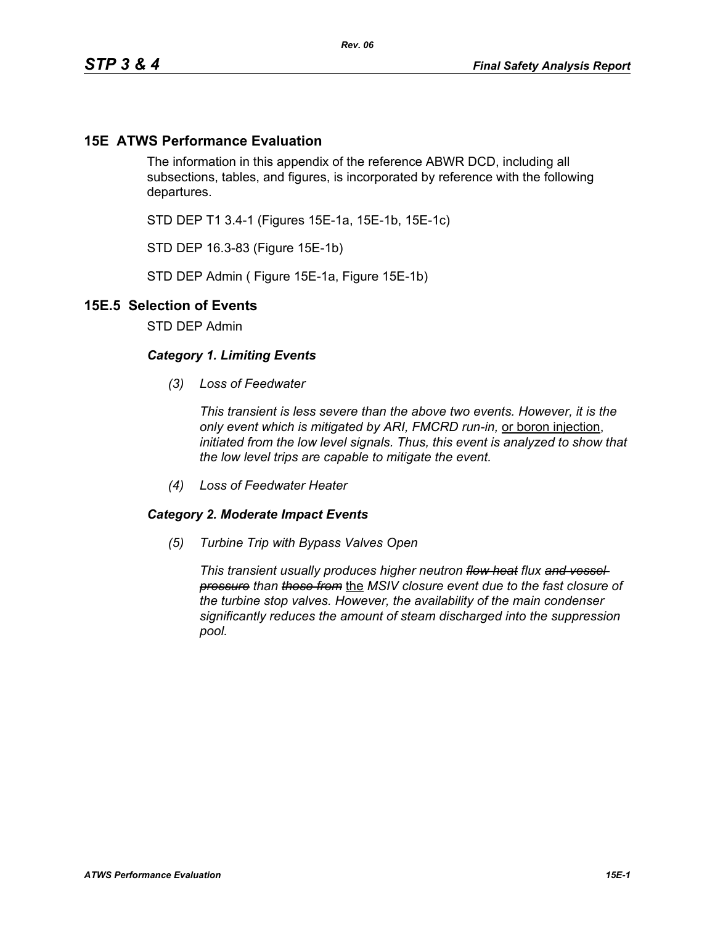## **15E ATWS Performance Evaluation**

The information in this appendix of the reference ABWR DCD, including all subsections, tables, and figures, is incorporated by reference with the following departures.

STD DEP T1 3.4-1 (Figures 15E-1a, 15E-1b, 15E-1c)

STD DEP 16.3-83 (Figure 15E-1b)

STD DEP Admin ( Figure 15E-1a, Figure 15E-1b)

## **15E.5 Selection of Events**

STD DEP Admin

## *Category 1. Limiting Events*

*(3) Loss of Feedwater*

*This transient is less severe than the above two events. However, it is the only event which is mitigated by ARI, FMCRD run-in,* or boron injection, *initiated from the low level signals. Thus, this event is analyzed to show that the low level trips are capable to mitigate the event.*

*(4) Loss of Feedwater Heater*

## *Category 2. Moderate Impact Events*

*(5) Turbine Trip with Bypass Valves Open*

*This transient usually produces higher neutron flow heat flux and vessel pressure than those from* the *MSIV closure event due to the fast closure of the turbine stop valves. However, the availability of the main condenser significantly reduces the amount of steam discharged into the suppression pool.*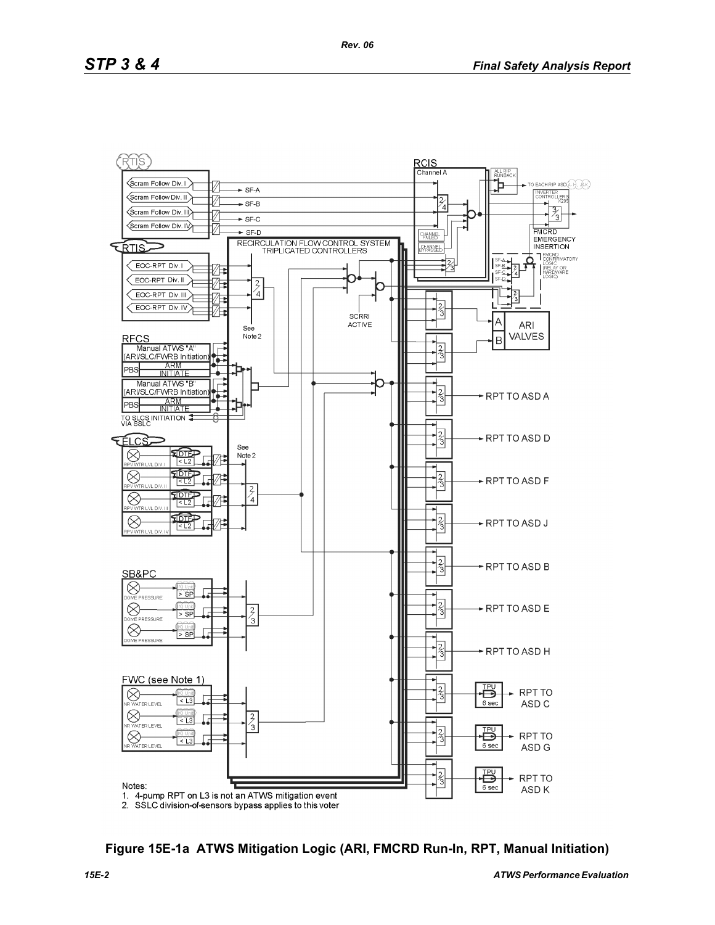

**Figure 15E-1a ATWS Mitigation Logic (ARI, FMCRD Run-In, RPT, Manual Initiation)**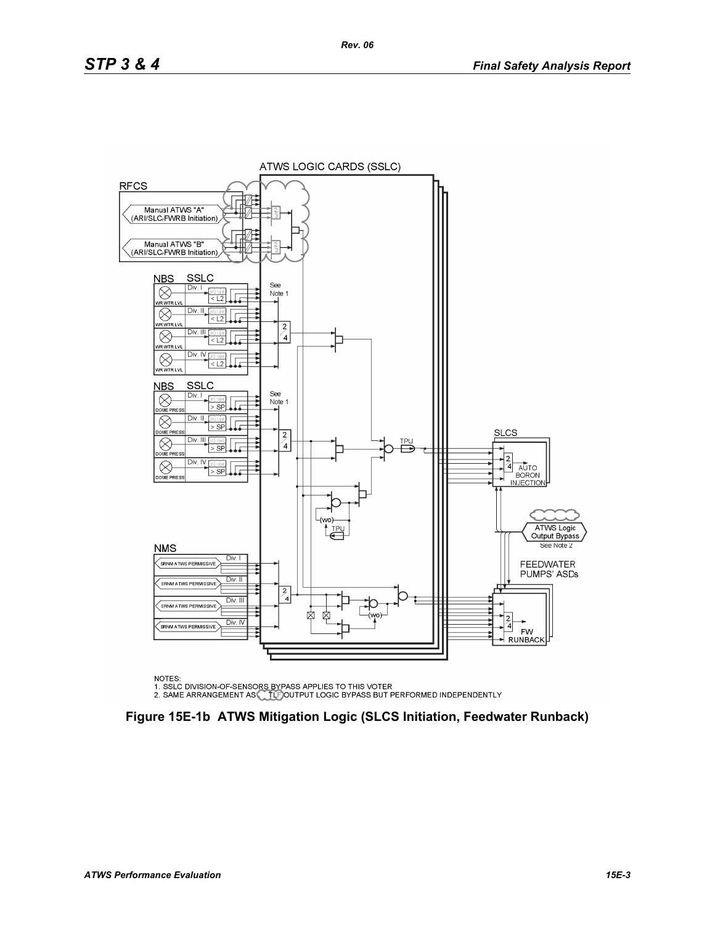

NOTES:

NOTES.<br>1. SSLC DIVISION-OF-SENSORS BYPASS APPLIES TO THIS VOTER<br>2. SAME ARRANGEMENT AS CLEIGOUTPUT LOGIC BYPASS BUT PERFORMED INDEPENDENTLY

**Figure 15E-1b ATWS Mitigation Logic (SLCS Initiation, Feedwater Runback)**